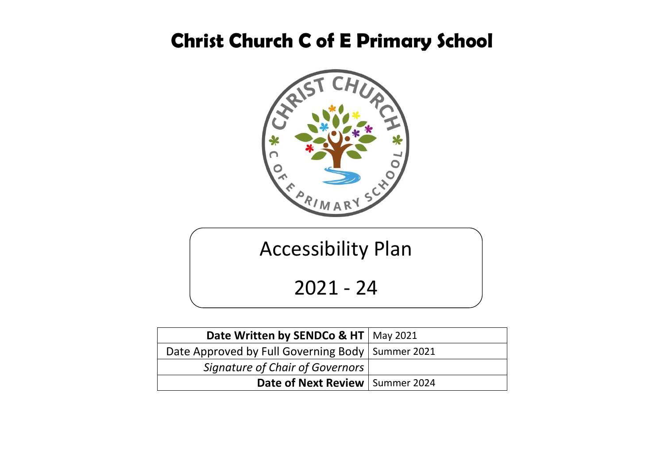## **Christ Church C of E Primary School**



# Accessibility Plan

2021 - 24

| Date Written by SENDCo & HT   May 2021             |  |
|----------------------------------------------------|--|
| Date Approved by Full Governing Body   Summer 2021 |  |
| <b>Signature of Chair of Governors</b>             |  |
| Date of Next Review   Summer 2024                  |  |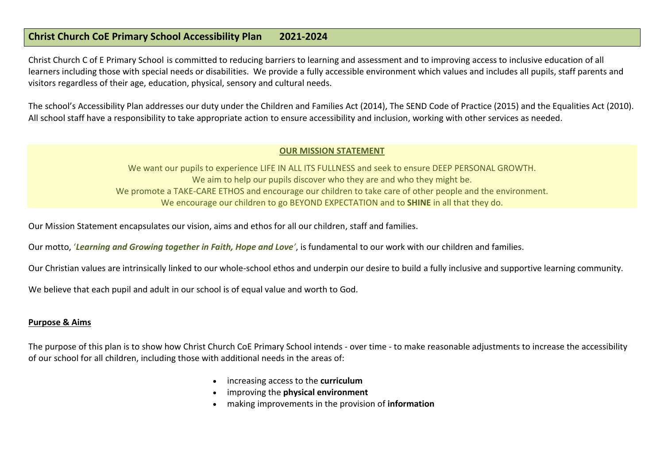#### **Christ Church CoE Primary School Accessibility Plan 2021-2024**

Christ Church C of E Primary School is committed to reducing barriers to learning and assessment and to improving access to inclusive education of all learners including those with special needs or disabilities. We provide a fully accessible environment which values and includes all pupils, staff parents and visitors regardless of their age, education, physical, sensory and cultural needs.

The school's Accessibility Plan addresses our duty under the Children and Families Act (2014), The SEND Code of Practice (2015) and the Equalities Act (2010). All school staff have a responsibility to take appropriate action to ensure accessibility and inclusion, working with other services as needed.

#### **OUR MISSION STATEMENT**

We want our pupils to experience LIFE IN ALL ITS FULLNESS and seek to ensure DEEP PERSONAL GROWTH. We aim to help our pupils discover who they are and who they might be. We promote a TAKE-CARE ETHOS and encourage our children to take care of other people and the environment. We encourage our children to go BEYOND EXPECTATION and to **SHINE** in all that they do.

Our Mission Statement encapsulates our vision, aims and ethos for all our children, staff and families.

Our motto, '*Learning and Growing together in Faith, Hope and Love'*, is fundamental to our work with our children and families.

Our Christian values are intrinsically linked to our whole-school ethos and underpin our desire to build a fully inclusive and supportive learning community.

We believe that each pupil and adult in our school is of equal value and worth to God.

#### **Purpose & Aims**

The purpose of this plan is to show how Christ Church CoE Primary School intends - over time - to make reasonable adjustments to increase the accessibility of our school for all children, including those with additional needs in the areas of:

- increasing access to the **curriculum**
- improving the **physical environment**
- making improvements in the provision of **information**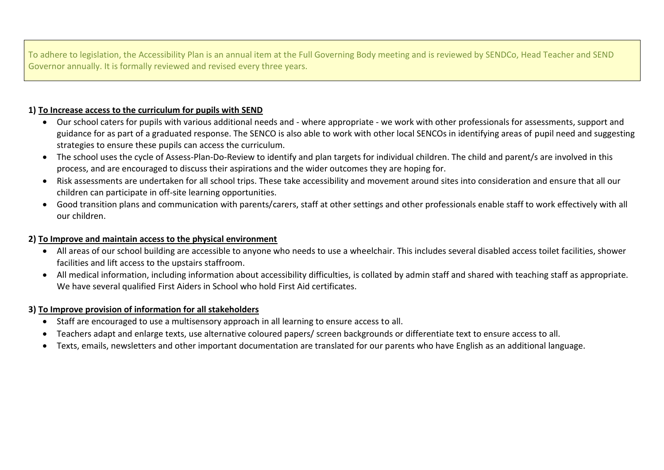To adhere to legislation, the Accessibility Plan is an annual item at the Full Governing Body meeting and is reviewed by SENDCo, Head Teacher and SEND Governor annually. It is formally reviewed and revised every three years.

#### **1) To Increase access to the curriculum for pupils with SEND**

- Our school caters for pupils with various additional needs and where appropriate we work with other professionals for assessments, support and guidance for as part of a graduated response. The SENCO is also able to work with other local SENCOs in identifying areas of pupil need and suggesting strategies to ensure these pupils can access the curriculum.
- The school uses the cycle of Assess-Plan-Do-Review to identify and plan targets for individual children. The child and parent/s are involved in this process, and are encouraged to discuss their aspirations and the wider outcomes they are hoping for.
- Risk assessments are undertaken for all school trips. These take accessibility and movement around sites into consideration and ensure that all our children can participate in off-site learning opportunities.
- Good transition plans and communication with parents/carers, staff at other settings and other professionals enable staff to work effectively with all our children.

#### **2) To Improve and maintain access to the physical environment**

- All areas of our school building are accessible to anyone who needs to use a wheelchair. This includes several disabled access toilet facilities, shower facilities and lift access to the upstairs staffroom.
- All medical information, including information about accessibility difficulties, is collated by admin staff and shared with teaching staff as appropriate. We have several qualified First Aiders in School who hold First Aid certificates.

#### **3) To Improve provision of information for all stakeholders**

- Staff are encouraged to use a multisensory approach in all learning to ensure access to all.
- Teachers adapt and enlarge texts, use alternative coloured papers/ screen backgrounds or differentiate text to ensure access to all.
- Texts, emails, newsletters and other important documentation are translated for our parents who have English as an additional language.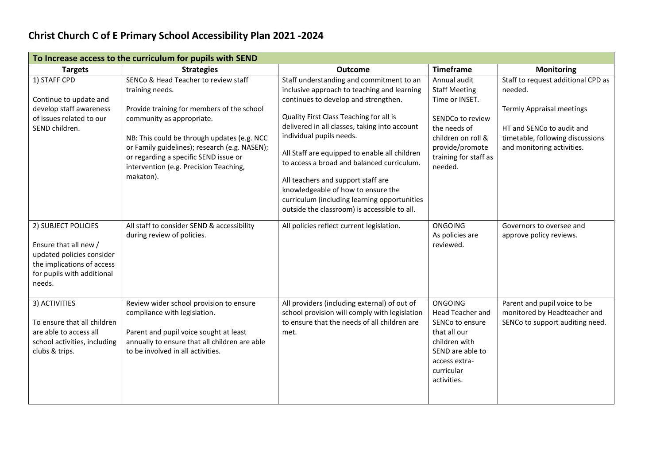### **Christ Church C of E Primary School Accessibility Plan 2021 -2024**

| To Increase access to the curriculum for pupils with SEND                                                                                       |                                                                                                                                                                                                                                                                                                                                    |                                                                                                                                                                                                                                                                                                                                                                                                                                                                                                                                    |                                                                                                                                                                         |                                                                                                                                                                                  |
|-------------------------------------------------------------------------------------------------------------------------------------------------|------------------------------------------------------------------------------------------------------------------------------------------------------------------------------------------------------------------------------------------------------------------------------------------------------------------------------------|------------------------------------------------------------------------------------------------------------------------------------------------------------------------------------------------------------------------------------------------------------------------------------------------------------------------------------------------------------------------------------------------------------------------------------------------------------------------------------------------------------------------------------|-------------------------------------------------------------------------------------------------------------------------------------------------------------------------|----------------------------------------------------------------------------------------------------------------------------------------------------------------------------------|
| <b>Targets</b>                                                                                                                                  | <b>Strategies</b>                                                                                                                                                                                                                                                                                                                  | <b>Outcome</b>                                                                                                                                                                                                                                                                                                                                                                                                                                                                                                                     | <b>Timeframe</b>                                                                                                                                                        | <b>Monitoring</b>                                                                                                                                                                |
| 1) STAFF CPD<br>Continue to update and<br>develop staff awareness<br>of issues related to our<br>SEND children.                                 | SENCo & Head Teacher to review staff<br>training needs.<br>Provide training for members of the school<br>community as appropriate.<br>NB: This could be through updates (e.g. NCC<br>or Family guidelines); research (e.g. NASEN);<br>or regarding a specific SEND issue or<br>intervention (e.g. Precision Teaching,<br>makaton). | Staff understanding and commitment to an<br>inclusive approach to teaching and learning<br>continues to develop and strengthen.<br>Quality First Class Teaching for all is<br>delivered in all classes, taking into account<br>individual pupils needs.<br>All Staff are equipped to enable all children<br>to access a broad and balanced curriculum.<br>All teachers and support staff are<br>knowledgeable of how to ensure the<br>curriculum (including learning opportunities<br>outside the classroom) is accessible to all. | Annual audit<br><b>Staff Meeting</b><br>Time or INSET.<br>SENDCo to review<br>the needs of<br>children on roll &<br>provide/promote<br>training for staff as<br>needed. | Staff to request additional CPD as<br>needed.<br><b>Termly Appraisal meetings</b><br>HT and SENCo to audit and<br>timetable, following discussions<br>and monitoring activities. |
| 2) SUBJECT POLICIES<br>Ensure that all new /<br>updated policies consider<br>the implications of access<br>for pupils with additional<br>needs. | All staff to consider SEND & accessibility<br>during review of policies.                                                                                                                                                                                                                                                           | All policies reflect current legislation.                                                                                                                                                                                                                                                                                                                                                                                                                                                                                          | <b>ONGOING</b><br>As policies are<br>reviewed.                                                                                                                          | Governors to oversee and<br>approve policy reviews.                                                                                                                              |
| 3) ACTIVITIES<br>To ensure that all children<br>are able to access all<br>school activities, including<br>clubs & trips.                        | Review wider school provision to ensure<br>compliance with legislation.<br>Parent and pupil voice sought at least<br>annually to ensure that all children are able<br>to be involved in all activities.                                                                                                                            | All providers (including external) of out of<br>school provision will comply with legislation<br>to ensure that the needs of all children are<br>met.                                                                                                                                                                                                                                                                                                                                                                              | <b>ONGOING</b><br>Head Teacher and<br>SENCo to ensure<br>that all our<br>children with<br>SEND are able to<br>access extra-<br>curricular<br>activities.                | Parent and pupil voice to be<br>monitored by Headteacher and<br>SENCo to support auditing need.                                                                                  |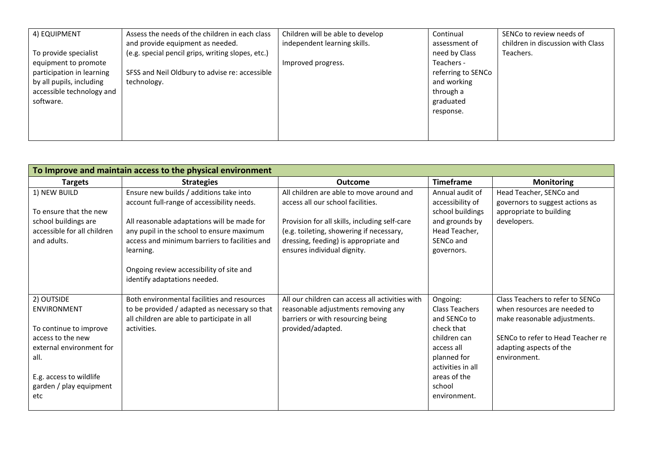| 4) EQUIPMENT              | Assess the needs of the children in each class<br>and provide equipment as needed. | Children will be able to develop<br>independent learning skills. | Continual<br>assessment of | SENCo to review needs of<br>children in discussion with Class |
|---------------------------|------------------------------------------------------------------------------------|------------------------------------------------------------------|----------------------------|---------------------------------------------------------------|
| To provide specialist     | (e.g. special pencil grips, writing slopes, etc.)                                  |                                                                  | need by Class              | Teachers.                                                     |
| equipment to promote      |                                                                                    | Improved progress.                                               | Teachers -                 |                                                               |
| participation in learning | SFSS and Neil Oldbury to advise re: accessible                                     |                                                                  | referring to SENCo         |                                                               |
| by all pupils, including  | technology.                                                                        |                                                                  | and working                |                                                               |
| accessible technology and |                                                                                    |                                                                  | through a                  |                                                               |
| software.                 |                                                                                    |                                                                  | graduated                  |                                                               |
|                           |                                                                                    |                                                                  | response.                  |                                                               |
|                           |                                                                                    |                                                                  |                            |                                                               |
|                           |                                                                                    |                                                                  |                            |                                                               |

| To Improve and maintain access to the physical environment                                                                                                                       |                                                                                                                                                                                                                                                                                                                             |                                                                                                                                                                                                                                                    |                                                                                                                                                                             |                                                                                                                                                                                  |
|----------------------------------------------------------------------------------------------------------------------------------------------------------------------------------|-----------------------------------------------------------------------------------------------------------------------------------------------------------------------------------------------------------------------------------------------------------------------------------------------------------------------------|----------------------------------------------------------------------------------------------------------------------------------------------------------------------------------------------------------------------------------------------------|-----------------------------------------------------------------------------------------------------------------------------------------------------------------------------|----------------------------------------------------------------------------------------------------------------------------------------------------------------------------------|
| <b>Targets</b>                                                                                                                                                                   | <b>Strategies</b>                                                                                                                                                                                                                                                                                                           | <b>Outcome</b>                                                                                                                                                                                                                                     | <b>Timeframe</b>                                                                                                                                                            | <b>Monitoring</b>                                                                                                                                                                |
| 1) NEW BUILD<br>To ensure that the new<br>school buildings are<br>accessible for all children<br>and adults.                                                                     | Ensure new builds / additions take into<br>account full-range of accessibility needs.<br>All reasonable adaptations will be made for<br>any pupil in the school to ensure maximum<br>access and minimum barriers to facilities and<br>learning.<br>Ongoing review accessibility of site and<br>identify adaptations needed. | All children are able to move around and<br>access all our school facilities.<br>Provision for all skills, including self-care<br>(e.g. toileting, showering if necessary,<br>dressing, feeding) is appropriate and<br>ensures individual dignity. | Annual audit of<br>accessibility of<br>school buildings<br>and grounds by<br>Head Teacher,<br>SENCo and<br>governors.                                                       | Head Teacher, SENCo and<br>governors to suggest actions as<br>appropriate to building<br>developers.                                                                             |
| 2) OUTSIDE<br><b>ENVIRONMENT</b><br>To continue to improve<br>access to the new<br>external environment for<br>all.<br>E.g. access to wildlife<br>garden / play equipment<br>etc | Both environmental facilities and resources<br>to be provided / adapted as necessary so that<br>all children are able to participate in all<br>activities.                                                                                                                                                                  | All our children can access all activities with<br>reasonable adjustments removing any<br>barriers or with resourcing being<br>provided/adapted.                                                                                                   | Ongoing:<br><b>Class Teachers</b><br>and SENCo to<br>check that<br>children can<br>access all<br>planned for<br>activities in all<br>areas of the<br>school<br>environment. | Class Teachers to refer to SENCo<br>when resources are needed to<br>make reasonable adjustments.<br>SENCo to refer to Head Teacher re<br>adapting aspects of the<br>environment. |